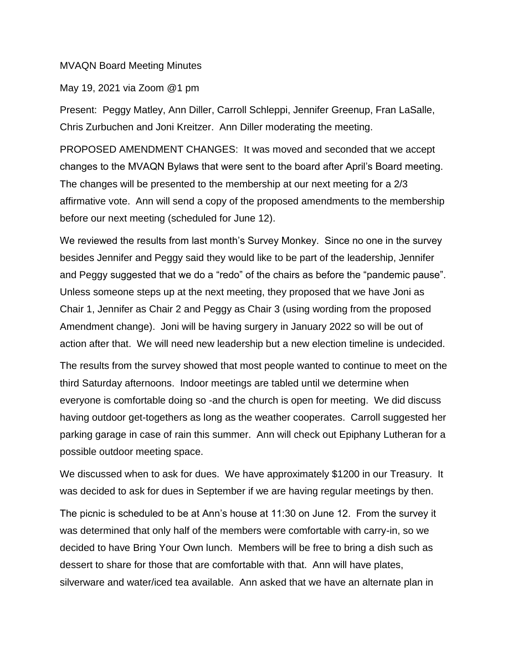## MVAQN Board Meeting Minutes

## May 19, 2021 via Zoom @1 pm

Present: Peggy Matley, Ann Diller, Carroll Schleppi, Jennifer Greenup, Fran LaSalle, Chris Zurbuchen and Joni Kreitzer. Ann Diller moderating the meeting.

PROPOSED AMENDMENT CHANGES: It was moved and seconded that we accept changes to the MVAQN Bylaws that were sent to the board after April's Board meeting. The changes will be presented to the membership at our next meeting for a 2/3 affirmative vote. Ann will send a copy of the proposed amendments to the membership before our next meeting (scheduled for June 12).

We reviewed the results from last month's Survey Monkey. Since no one in the survey besides Jennifer and Peggy said they would like to be part of the leadership, Jennifer and Peggy suggested that we do a "redo" of the chairs as before the "pandemic pause". Unless someone steps up at the next meeting, they proposed that we have Joni as Chair 1, Jennifer as Chair 2 and Peggy as Chair 3 (using wording from the proposed Amendment change). Joni will be having surgery in January 2022 so will be out of action after that. We will need new leadership but a new election timeline is undecided.

The results from the survey showed that most people wanted to continue to meet on the third Saturday afternoons. Indoor meetings are tabled until we determine when everyone is comfortable doing so -and the church is open for meeting. We did discuss having outdoor get-togethers as long as the weather cooperates. Carroll suggested her parking garage in case of rain this summer. Ann will check out Epiphany Lutheran for a possible outdoor meeting space.

We discussed when to ask for dues. We have approximately \$1200 in our Treasury. It was decided to ask for dues in September if we are having regular meetings by then.

The picnic is scheduled to be at Ann's house at 11:30 on June 12. From the survey it was determined that only half of the members were comfortable with carry-in, so we decided to have Bring Your Own lunch. Members will be free to bring a dish such as dessert to share for those that are comfortable with that. Ann will have plates, silverware and water/iced tea available. Ann asked that we have an alternate plan in